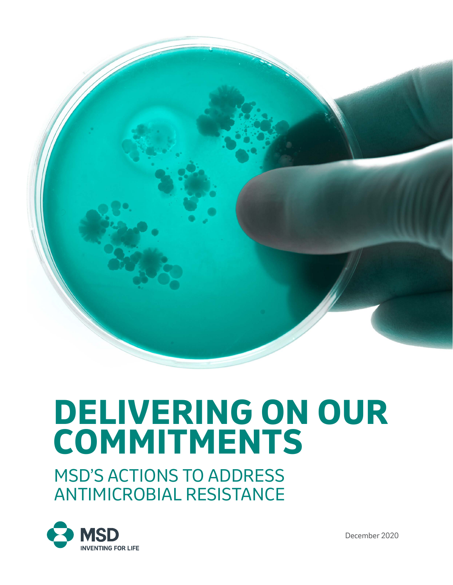

# **DELIVERING ON OUR COMMITMENTS**

MSD'S ACTIONS TO ADDRESS ANTIMICROBIAL RESISTANCE



December 2020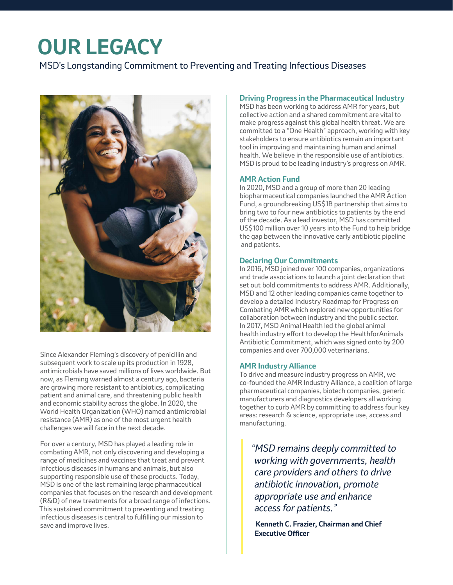# **OUR LEGACY**

MSD's Longstanding Commitment to Preventing and Treating Infectious Diseases



Since Alexander Fleming's discovery of penicillin and subsequent work to scale up its production in 1928, antimicrobials have saved millions of lives worldwide. But now, as Fleming warned almost a century ago, bacteria are growing more resistant to antibiotics, complicating patient and animal care, and threatening public health and economic stability across the globe. In 2020, the World Health Organization (WHO) named antimicrobial resistance (AMR) as one of the most urgent health challenges we will face in the next decade.

For over a century, MSD has played a leading role in combating AMR, not only discovering and developing a range of medicines and vaccines that treat and prevent infectious diseases in humans and animals, but also supporting responsible use of these products. Today, MSD is one of the last remaining large pharmaceutical companies that focuses on the research and development (R&D) of new treatments for a broad range of infections. This sustained commitment to preventing and treating infectious diseases is central to fulfilling our mission to save and improve lives.

#### **Driving Progress in the Pharmaceutical Industry**

MSD has been working to address AMR for years, but collective action and a shared commitment are vital to make progress against this global health threat. We are committed to a "One Health" approach, working with key stakeholders to ensure antibiotics remain an important tool in improving and maintaining human and animal health. We believe in the responsible use of antibiotics. MSD is proud to be leading industry's progress on AMR.

#### **AMR Action Fund**

In 2020, MSD and a group of more than 20 leading biopharmaceutical companies launched the AMR Action Fund, a groundbreaking US\$1B partnership that aims to bring two to four new antibiotics to patients by the end of the decade. As a lead investor, MSD has committed US\$100 million over 10 years into the Fund to help bridge the gap between the innovative early antibiotic pipeline and patients.

#### **Declaring Our Commitments**

In 2016, MSD joined over 100 companies, organizations and trade associations to launch a joint declaration that set out bold commitments to address AMR. Additionally, MSD and 12 other leading companies came together to develop a detailed Industry Roadmap for Progress on Combating AMR which explored new opportunities for collaboration between industry and the public sector. In 2017, MSD Animal Health led the global animal health industry effort to develop the HealthforAnimals Antibiotic Commitment, which was signed onto by 200 companies and over 700,000 veterinarians.

#### **AMR Industry Alliance**

To drive and measure industry progress on AMR, we co-founded the AMR Industry Alliance, a coalition of large pharmaceutical companies, biotech companies, generic manufacturers and diagnostics developers all working together to curb AMR by committing to address four key areas: research & science, appropriate use, access and manufacturing.

*"MSD remains deeply committed to working with governments, health care providers and others to drive antibiotic innovation, promote appropriate use and enhance access for patients."* 

 **Kenneth C. Frazier, Chairman and Chief Executive Officer**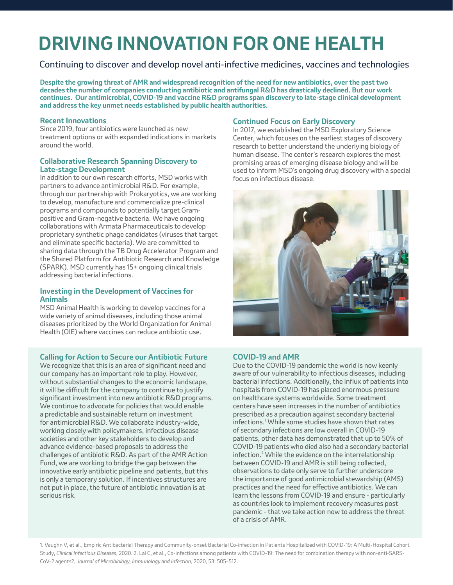## **DRIVING INNOVATION FOR ONE HEALTH**

Continuing to discover and develop novel anti-infective medicines, vaccines and technologies

**Despite the growing threat of AMR and widespread recognition of the need for new antibiotics, over the past two decades the number of companies conducting antibiotic and antifungal R&D has drastically declined. But our work continues. Our antimicrobial, COVID-19 and vaccine R&D programs span discovery to late-stage clinical development and address the key unmet needs established by public health authorities.** 

#### **Recent Innovations**

Since 2019, four antibiotics were launched as new treatment options or with expanded indications in markets around the world.

#### **Collaborative Research Spanning Discovery to Late-stage Development**

In addition to our own research efforts, MSD works with partners to advance antimicrobial R&D. For example, through our partnership with Prokaryotics, we are working to develop, manufacture and commercialize pre-clinical programs and compounds to potentially target Grampositive and Gram-negative bacteria. We have ongoing collaborations with Armata Pharmaceuticals to develop proprietary synthetic phage candidates (viruses that target and eliminate specific bacteria). We are committed to sharing data through the TB Drug Accelerator Program and the Shared Platform for Antibiotic Research and Knowledge (SPARK). MSD currently has 15+ ongoing clinical trials addressing bacterial infections.

#### **Investing in the Development of Vaccines for Animals**

MSD Animal Health is working to develop vaccines for a wide variety of animal diseases, including those animal diseases prioritized by the World Organization for Animal Health (OIE) where vaccines can reduce antibiotic use.

#### **Calling for Action to Secure our Antibiotic Future**

We recognize that this is an area of significant need and our company has an important role to play. However, without substantial changes to the economic landscape, it will be difficult for the company to continue to justify significant investment into new antibiotic R&D programs. We continue to advocate for policies that would enable a predictable and sustainable return on investment for antimicrobial R&D. We collaborate industry-wide, working closely with policymakers, infectious disease societies and other key stakeholders to develop and advance evidence-based proposals to address the challenges of antibiotic R&D. As part of the AMR Action Fund, we are working to bridge the gap between the innovative early antibiotic pipeline and patients, but this is only a temporary solution. If incentives structures are not put in place, the future of antibiotic innovation is at serious risk.

#### **Continued Focus on Early Discovery**

In 2017, we established the MSD Exploratory Science Center, which focuses on the earliest stages of discovery research to better understand the underlying biology of human disease. The center's research explores the most promising areas of emerging disease biology and will be used to inform MSD's ongoing drug discovery with a special focus on infectious disease.



#### **COVID-19 and AMR**

Due to the COVID-19 pandemic the world is now keenly aware of our vulnerability to infectious diseases, including bacterial infections. Additionally, the influx of patients into hospitals from COVID-19 has placed enormous pressure on healthcare systems worldwide. Some treatment centers have seen increases in the number of antibiotics prescribed as a precaution against secondary bacterial infections.<sup>1</sup> While some studies have shown that rates of secondary infections are low overall in COVID-19 patients, other data has demonstrated that up to 50% of COVID-19 patients who died also had a secondary bacterial infection.2 While the evidence on the interrelationship between COVID-19 and AMR is still being collected, observations to date only serve to further underscore the importance of good antimicrobial stewardship (AMS) practices and the need for effective antibiotics. We can learn the lessons from COVID-19 and ensure - particularly as countries look to implement recovery measures post pandemic - that we take action now to address the threat of a crisis of AMR.

1. Vaughn V, et al., Empiric Antibacterial Therapy and Community-onset Bacterial Co-infection in Patients Hospitalized with COVID-19: A Multi-Hospital Cohort Study, *Clinical Infectious Diseases*, 2020. 2. Lai C, et al., Co-infections among patients with COVID-19: The need for combination therapy with non-anti-SARS-CoV-2 agents?, *Journal of Microbiology, Immunology and Infection*, 2020, 53: 505–512.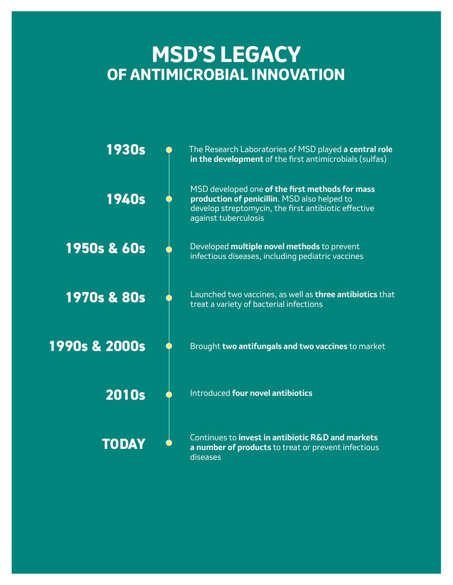### **MSD'S LEGACY OF ANTIMICROBIAL INNOVATION**

| <b>1930s</b>             | The Research Laboratories of MSD played a central role<br>in the development of the first antimicrobials (sulfas)                                                               |
|--------------------------|---------------------------------------------------------------------------------------------------------------------------------------------------------------------------------|
| <b>1940s</b>             | MSD developed one of the first methods for mass<br>production of penicillin. MSD also helped to<br>develop streptomycin, the first antibiotic effective<br>against tuberculosis |
| <b>1950s &amp; 60s</b>   | Developed multiple novel methods to prevent<br>infectious diseases, including pediatric vaccines                                                                                |
| <b>1970s &amp; 80s</b>   | Launched two vaccines, as well as three antibiotics that<br>treat a variety of bacterial infections                                                                             |
| <b>1990s &amp; 2000s</b> | Brought two antifungals and two vaccines to market                                                                                                                              |
| <b>2010s</b>             | Introduced four novel antibiotics                                                                                                                                               |
| TODAY                    | Continues to invest in antibiotic R&D and markets<br>a number of products to treat or prevent infectious<br>diseases                                                            |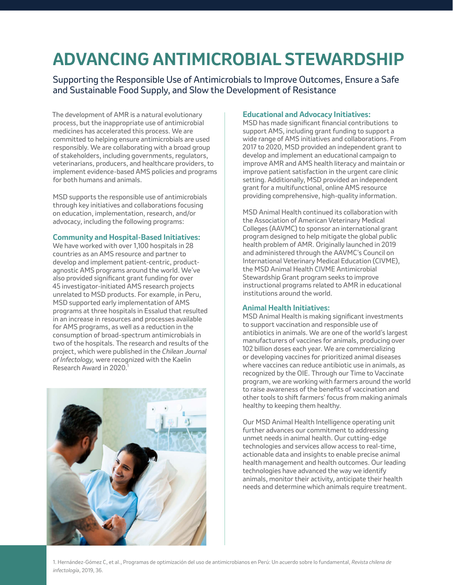### **ADVANCING ANTIMICROBIAL STEWARDSHIP**

Supporting the Responsible Use of Antimicrobials to Improve Outcomes, Ensure a Safe and Sustainable Food Supply, and Slow the Development of Resistance

The development of AMR is a natural evolutionary process, but the inappropriate use of antimicrobial medicines has accelerated this process. We are committed to helping ensure antimicrobials are used responsibly. We are collaborating with a broad group of stakeholders, including governments, regulators, veterinarians, producers, and healthcare providers, to implement evidence-based AMS policies and programs for both humans and animals.

MSD supports the responsible use of antimicrobials through key initiatives and collaborations focusing on education, implementation, research, and/or advocacy, including the following programs:

#### **Community and Hospital-Based Initiatives:**

We have worked with over 1,100 hospitals in 28 countries as an AMS resource and partner to develop and implement patient-centric, productagnostic AMS programs around the world. We've also provided significant grant funding for over 45 investigator-initiated AMS research projects unrelated to MSD products. For example, in Peru, MSD supported early implementation of AMS programs at three hospitals in Essalud that resulted in an increase in resources and processes available for AMS programs, as well as a reduction in the consumption of broad-spectrum antimicrobials in two of the hospitals. The research and results of the project, which were published in the *Chilean Journal of Infectology,* were recognized with the Kaelin Research Award in 2020.1



#### **Educational and Advocacy Initiatives:**

MSD has made significant financial contributions to support AMS, including grant funding to support a wide range of AMS initiatives and collaborations. From 2017 to 2020, MSD provided an independent grant to develop and implement an educational campaign to improve AMR and AMS health literacy and maintain or improve patient satisfaction in the urgent care clinic setting. Additionally, MSD provided an independent grant for a multifunctional, online AMS resource providing comprehensive, high-quality information.

MSD Animal Health continued its collaboration with the Association of American Veterinary Medical Colleges (AAVMC) to sponsor an international grant program designed to help mitigate the global public health problem of AMR. Originally launched in 2019 and administered through the AAVMC's Council on International Veterinary Medical Education (CIVME), the MSD Animal Health CIVME Antimicrobial Stewardship Grant program seeks to improve instructional programs related to AMR in educational institutions around the world.

#### **Animal Health Initiatives:**

MSD Animal Health is making significant investments to support vaccination and responsible use of antibiotics in animals. We are one of the world's largest manufacturers of vaccines for animals, producing over 102 billion doses each year. We are commercializing or developing vaccines for prioritized animal diseases where vaccines can reduce antibiotic use in animals, as recognized by the OIE. Through our Time to Vaccinate program, we are working with farmers around the world to raise awareness of the benefits of vaccination and other tools to shift farmers' focus from making animals healthy to keeping them healthy.

Our MSD Animal Health Intelligence operating unit further advances our commitment to addressing unmet needs in animal health. Our cutting-edge technologies and services allow access to real-time, actionable data and insights to enable precise animal health management and health outcomes. Our leading technologies have advanced the way we identify animals, monitor their activity, anticipate their health needs and determine which animals require treatment.

1. Hernández-Gómez C, et al., Programas de optimización del uso de antimicrobianos en Perú: Un acuerdo sobre lo fundamental, *Revista chilena de infectología*, 2019, 36.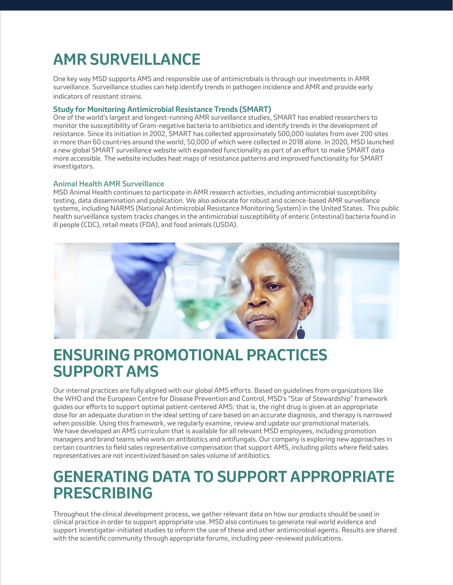### **AMR SURVEILLANCE**

One key way MSD supports AMS and responsible use of antimicrobials is through our investments in AMR surveillance. Surveillance studies can help identify trends in pathogen incidence and AMR and provide early indicators of resistant strains.

#### **Study for Monitoring Antimicrobial Resistance Trends (SMART)**

One of the world's largest and longest-running AMR surveillance studies, SMART has enabled researchers to monitor the susceptibility of Gram-negative bacteria to antibiotics and identify trends in the development of resistance. Since its initiation in 2002, SMART has collected approximately 500,000 isolates from over 200 sites in more than 60 countries around the world, 50,000 of which were collected in 2018 alone. In 2020, MSD launched a new global SMART surveillance website with expanded functionality as part of an effort to make SMART data more accessible. The website includes heat maps of resistance patterns and improved functionality for SMART investigators.

#### **Animal Health AMR Surveillance**

MSD Animal Health continues to participate in AMR research activities, including antimicrobial susceptibility testing, data dissemination and publication. We also advocate for robust and science-based AMR surveillance systems, including NARMS (National Antimicrobial Resistance Monitoring System) in the United States. This public health surveillance system tracks changes in the antimicrobial susceptibility of enteric (intestinal) bacteria found in ill people (CDC), retail meats (FDA), and food animals (USDA).



### **ENSURING PROMOTIONAL PRACTICES SUPPORT AMS**

Our internal practices are fully aligned with our global AMS efforts. Based on guidelines from organizations like the WHO and the European Centre for Disease Prevention and Control, MSD's "Star of Stewardship" framework guides our efforts to support optimal patient-centered AMS: that is, the right drug is given at an appropriate dose for an adequate duration in the ideal setting of care based on an accurate diagnosis, and therapy is narrowed when possible. Using this framework, we regularly examine, review and update our promotional materials. We have developed an AMS curriculum that is available for all relevant MSD employees, including promotion managers and brand teams who work on antibiotics and antifungals. Our company is exploring new approaches in certain countries to field sales representative compensation that support AMS, including pilots where field sales representatives are not incentivized based on sales volume of antibiotics.

### **GENERATING DATA TO SUPPORT APPROPRIATE PRESCRIBING**

Throughout the clinical development process, we gather relevant data on how our products should be used in clinical practice in order to support appropriate use. MSD also continues to generate real world evidence and support investigator-initiated studies to inform the use of these and other antimicrobial agents. Results are shared with the scientific community through appropriate forums, including peer-reviewed publications.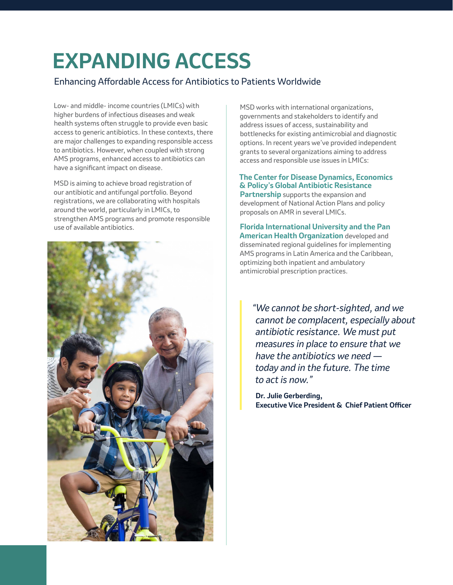# **EXPANDING ACCESS**

#### Enhancing Affordable Access for Antibiotics to Patients Worldwide

Low- and middle- income countries (LMICs) with higher burdens of infectious diseases and weak health systems often struggle to provide even basic access to generic antibiotics. In these contexts, there are major challenges to expanding responsible access to antibiotics. However, when coupled with strong AMS programs, enhanced access to antibiotics can have a significant impact on disease.

MSD is aiming to achieve broad registration of our antibiotic and antifungal portfolio. Beyond registrations, we are collaborating with hospitals around the world, particularly in LMICs, to strengthen AMS programs and promote responsible use of available antibiotics.



MSD works with international organizations, governments and stakeholders to identify and address issues of access, sustainability and bottlenecks for existing antimicrobial and diagnostic options. In recent years we've provided independent grants to several organizations aiming to address access and responsible use issues in LMICs:

#### **The Center for Disease Dynamics, Economics & Policy's Global Antibiotic Resistance**

**Partnership** supports the expansion and development of National Action Plans and policy proposals on AMR in several LMICs.

**Florida International University and the Pan American Health Organization** developed and disseminated regional guidelines for implementing AMS programs in Latin America and the Caribbean, optimizing both inpatient and ambulatory antimicrobial prescription practices.

*"We cannot be short-sighted, and we cannot be complacent, especially about antibiotic resistance. We must put measures in place to ensure that we have the antibiotics we need today and in the future. The time to act is now."* 

**Dr. Julie Gerberding, Executive Vice President & Chief Patient Officer**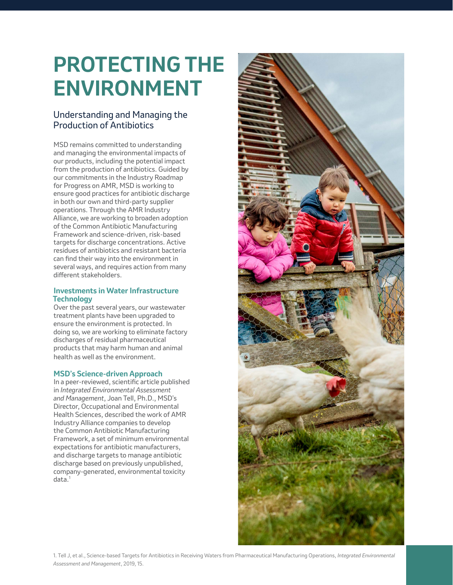# **PROTECTING THE ENVIRONMENT**

#### Understanding and Managing the Production of Antibiotics

MSD remains committed to understanding and managing the environmental impacts of our products, including the potential impact from the production of antibiotics. Guided by our commitments in the Industry Roadmap for Progress on AMR, MSD is working to ensure good practices for antibiotic discharge in both our own and third-party supplier operations. Through the AMR Industry Alliance, we are working to broaden adoption of the Common Antibiotic Manufacturing Framework and science-driven, risk-based targets for discharge concentrations. Active residues of antibiotics and resistant bacteria can find their way into the environment in several ways, and requires action from many different stakeholders.

#### **Investments in Water Infrastructure Technology**

Over the past several years, our wastewater treatment plants have been upgraded to ensure the environment is protected. In doing so, we are working to eliminate factory discharges of residual pharmaceutical products that may harm human and animal health as well as the environment.

#### **MSD's Science-driven Approach**

In a peer-reviewed, scientific article published in *Integrated Environmental Assessment and Management*, Joan Tell, Ph.D., MSD's Director, Occupational and Environmental Health Sciences, described the work of AMR Industry Alliance companies to develop the Common Antibiotic Manufacturing Framework, a set of minimum environmental expectations for antibiotic manufacturers, and discharge targets to manage antibiotic discharge based on previously unpublished, company-generated, environmental toxicity data.<sup>1</sup>